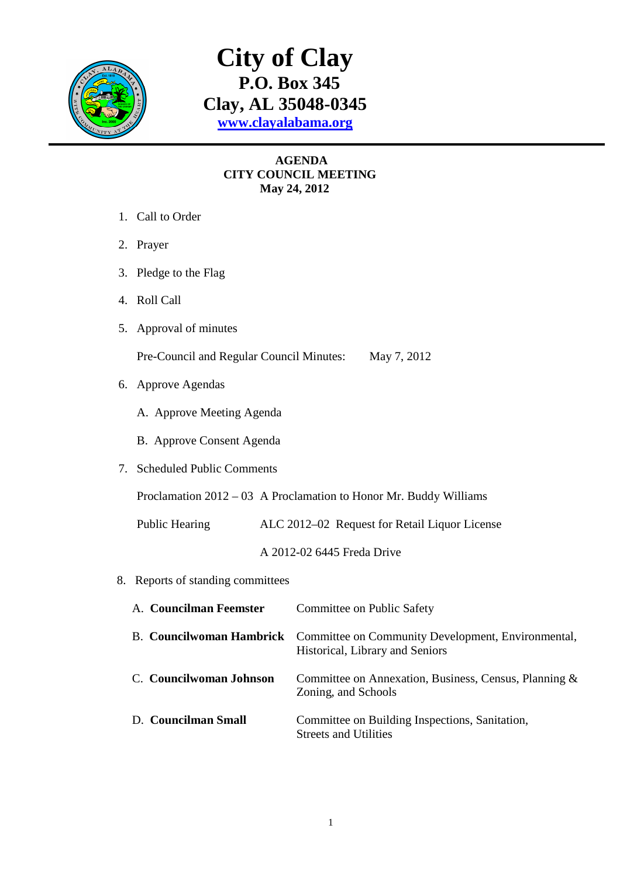

## **City of Clay P.O. Box 345 Clay, AL 35048-0345 www.clayalabama.org**

## **AGENDA CITY COUNCIL MEETING May 24, 2012**

- 1. Call to Order
- 2. Prayer
- 3. Pledge to the Flag
- 4. Roll Call
- 5. Approval of minutes

Pre-Council and Regular Council Minutes: May 7, 2012

- 6. Approve Agendas
	- A. Approve Meeting Agenda
	- B. Approve Consent Agenda
- 7. Scheduled Public Comments

Proclamation 2012 – 03 A Proclamation to Honor Mr. Buddy Williams

Public Hearing ALC 2012–02 Request for Retail Liquor License

A 2012-02 6445 Freda Drive

8. Reports of standing committees

| A. Councilman Feemster  | Committee on Public Safety                                                                                     |
|-------------------------|----------------------------------------------------------------------------------------------------------------|
|                         | B. Councilwoman Hambrick Committee on Community Development, Environmental,<br>Historical, Library and Seniors |
| C. Councilwoman Johnson | Committee on Annexation, Business, Census, Planning &<br>Zoning, and Schools                                   |
| D. Councilman Small     | Committee on Building Inspections, Sanitation,<br><b>Streets and Utilities</b>                                 |